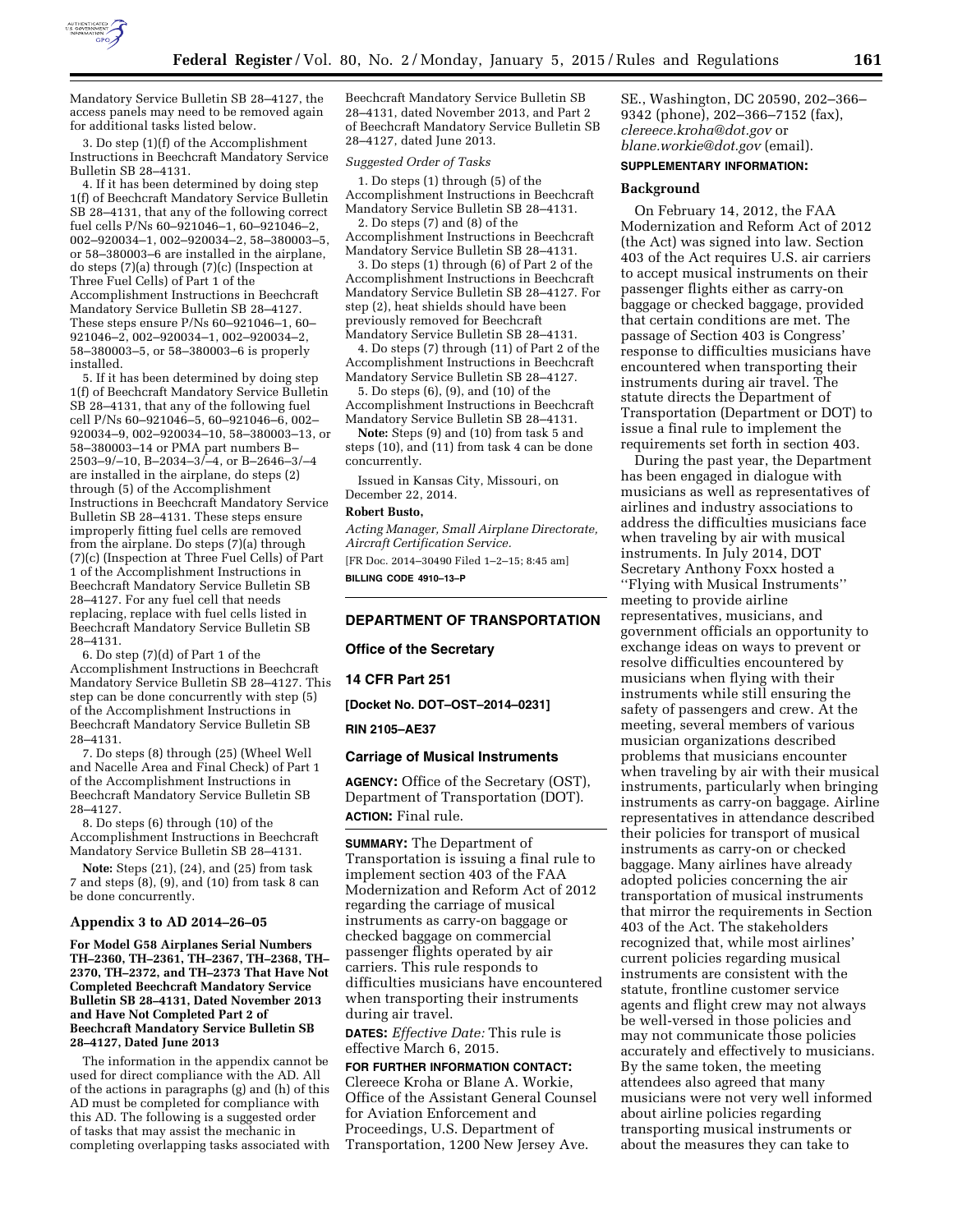

Mandatory Service Bulletin SB 28–4127, the access panels may need to be removed again for additional tasks listed below.

3. Do step (1)(f) of the Accomplishment Instructions in Beechcraft Mandatory Service Bulletin SB 28–4131.

4. If it has been determined by doing step 1(f) of Beechcraft Mandatory Service Bulletin SB 28–4131, that any of the following correct fuel cells P/Ns 60–921046–1, 60–921046–2, 002–920034–1, 002–920034–2, 58–380003–5, or 58–380003–6 are installed in the airplane, do steps (7)(a) through (7)(c) (Inspection at Three Fuel Cells) of Part 1 of the Accomplishment Instructions in Beechcraft Mandatory Service Bulletin SB 28–4127. These steps ensure P/Ns 60–921046–1, 60– 921046–2, 002–920034–1, 002–920034–2, 58–380003–5, or 58–380003–6 is properly installed.

5. If it has been determined by doing step 1(f) of Beechcraft Mandatory Service Bulletin SB 28–4131, that any of the following fuel cell P/Ns 60–921046–5, 60–921046–6, 002– 920034–9, 002–920034–10, 58–380003–13, or 58–380003–14 or PMA part numbers B– 2503–9/–10, B–2034–3/–4, or B–2646–3/–4 are installed in the airplane, do steps (2) through (5) of the Accomplishment Instructions in Beechcraft Mandatory Service Bulletin SB 28–4131. These steps ensure improperly fitting fuel cells are removed from the airplane. Do steps (7)(a) through (7)(c) (Inspection at Three Fuel Cells) of Part 1 of the Accomplishment Instructions in Beechcraft Mandatory Service Bulletin SB 28–4127. For any fuel cell that needs replacing, replace with fuel cells listed in Beechcraft Mandatory Service Bulletin SB 28–4131.

6. Do step (7)(d) of Part 1 of the Accomplishment Instructions in Beechcraft Mandatory Service Bulletin SB 28–4127. This step can be done concurrently with step (5) of the Accomplishment Instructions in Beechcraft Mandatory Service Bulletin SB 28–4131.

7. Do steps (8) through (25) (Wheel Well and Nacelle Area and Final Check) of Part 1 of the Accomplishment Instructions in Beechcraft Mandatory Service Bulletin SB 28–4127.

8. Do steps (6) through (10) of the Accomplishment Instructions in Beechcraft Mandatory Service Bulletin SB 28–4131.

**Note:** Steps (21), (24), and (25) from task 7 and steps (8), (9), and (10) from task 8 can be done concurrently.

#### **Appendix 3 to AD 2014–26–05**

**For Model G58 Airplanes Serial Numbers TH–2360, TH–2361, TH–2367, TH–2368, TH– 2370, TH–2372, and TH–2373 That Have Not Completed Beechcraft Mandatory Service Bulletin SB 28–4131, Dated November 2013 and Have Not Completed Part 2 of Beechcraft Mandatory Service Bulletin SB 28–4127, Dated June 2013** 

The information in the appendix cannot be used for direct compliance with the AD. All of the actions in paragraphs (g) and (h) of this AD must be completed for compliance with this AD. The following is a suggested order of tasks that may assist the mechanic in completing overlapping tasks associated with Beechcraft Mandatory Service Bulletin SB 28–4131, dated November 2013, and Part 2 of Beechcraft Mandatory Service Bulletin SB 28–4127, dated June 2013.

#### *Suggested Order of Tasks*

1. Do steps (1) through (5) of the Accomplishment Instructions in Beechcraft Mandatory Service Bulletin SB 28–4131.

2. Do steps (7) and (8) of the Accomplishment Instructions in Beechcraft Mandatory Service Bulletin SB 28–4131.

3. Do steps (1) through (6) of Part 2 of the Accomplishment Instructions in Beechcraft Mandatory Service Bulletin SB 28–4127. For step (2), heat shields should have been previously removed for Beechcraft Mandatory Service Bulletin SB 28–4131.

4. Do steps (7) through (11) of Part 2 of the Accomplishment Instructions in Beechcraft Mandatory Service Bulletin SB 28–4127.

5. Do steps (6), (9), and (10) of the Accomplishment Instructions in Beechcraft Mandatory Service Bulletin SB 28–4131.

**Note:** Steps (9) and (10) from task 5 and steps (10), and (11) from task 4 can be done concurrently.

Issued in Kansas City, Missouri, on December 22, 2014.

## **Robert Busto,**

*Acting Manager, Small Airplane Directorate, Aircraft Certification Service.* 

[FR Doc. 2014–30490 Filed 1–2–15; 8:45 am] **BILLING CODE 4910–13–P** 

#### **DEPARTMENT OF TRANSPORTATION**

**Office of the Secretary** 

#### **14 CFR Part 251**

**[Docket No. DOT–OST–2014–0231]** 

#### **RIN 2105–AE37**

# **Carriage of Musical Instruments**

**AGENCY:** Office of the Secretary (OST), Department of Transportation (DOT). **ACTION:** Final rule.

**SUMMARY:** The Department of Transportation is issuing a final rule to implement section 403 of the FAA Modernization and Reform Act of 2012 regarding the carriage of musical instruments as carry-on baggage or checked baggage on commercial passenger flights operated by air carriers. This rule responds to difficulties musicians have encountered when transporting their instruments during air travel.

**DATES:** *Effective Date:* This rule is effective March 6, 2015.

**FOR FURTHER INFORMATION CONTACT:**  Clereece Kroha or Blane A. Workie, Office of the Assistant General Counsel for Aviation Enforcement and Proceedings, U.S. Department of Transportation, 1200 New Jersey Ave.

SE., Washington, DC 20590, 202–366– 9342 (phone), 202–366–7152 (fax), *[clereece.kroha@dot.gov](mailto:clereece.kroha@dot.gov)* or *[blane.workie@dot.gov](mailto:blane.workie@dot.gov)* (email).

# **SUPPLEMENTARY INFORMATION:**

# **Background**

On February 14, 2012, the FAA Modernization and Reform Act of 2012 (the Act) was signed into law. Section 403 of the Act requires U.S. air carriers to accept musical instruments on their passenger flights either as carry-on baggage or checked baggage, provided that certain conditions are met. The passage of Section 403 is Congress' response to difficulties musicians have encountered when transporting their instruments during air travel. The statute directs the Department of Transportation (Department or DOT) to issue a final rule to implement the requirements set forth in section 403.

During the past year, the Department has been engaged in dialogue with musicians as well as representatives of airlines and industry associations to address the difficulties musicians face when traveling by air with musical instruments. In July 2014, DOT Secretary Anthony Foxx hosted a ''Flying with Musical Instruments'' meeting to provide airline representatives, musicians, and government officials an opportunity to exchange ideas on ways to prevent or resolve difficulties encountered by musicians when flying with their instruments while still ensuring the safety of passengers and crew. At the meeting, several members of various musician organizations described problems that musicians encounter when traveling by air with their musical instruments, particularly when bringing instruments as carry-on baggage. Airline representatives in attendance described their policies for transport of musical instruments as carry-on or checked baggage. Many airlines have already adopted policies concerning the air transportation of musical instruments that mirror the requirements in Section 403 of the Act. The stakeholders recognized that, while most airlines' current policies regarding musical instruments are consistent with the statute, frontline customer service agents and flight crew may not always be well-versed in those policies and may not communicate those policies accurately and effectively to musicians. By the same token, the meeting attendees also agreed that many musicians were not very well informed about airline policies regarding transporting musical instruments or about the measures they can take to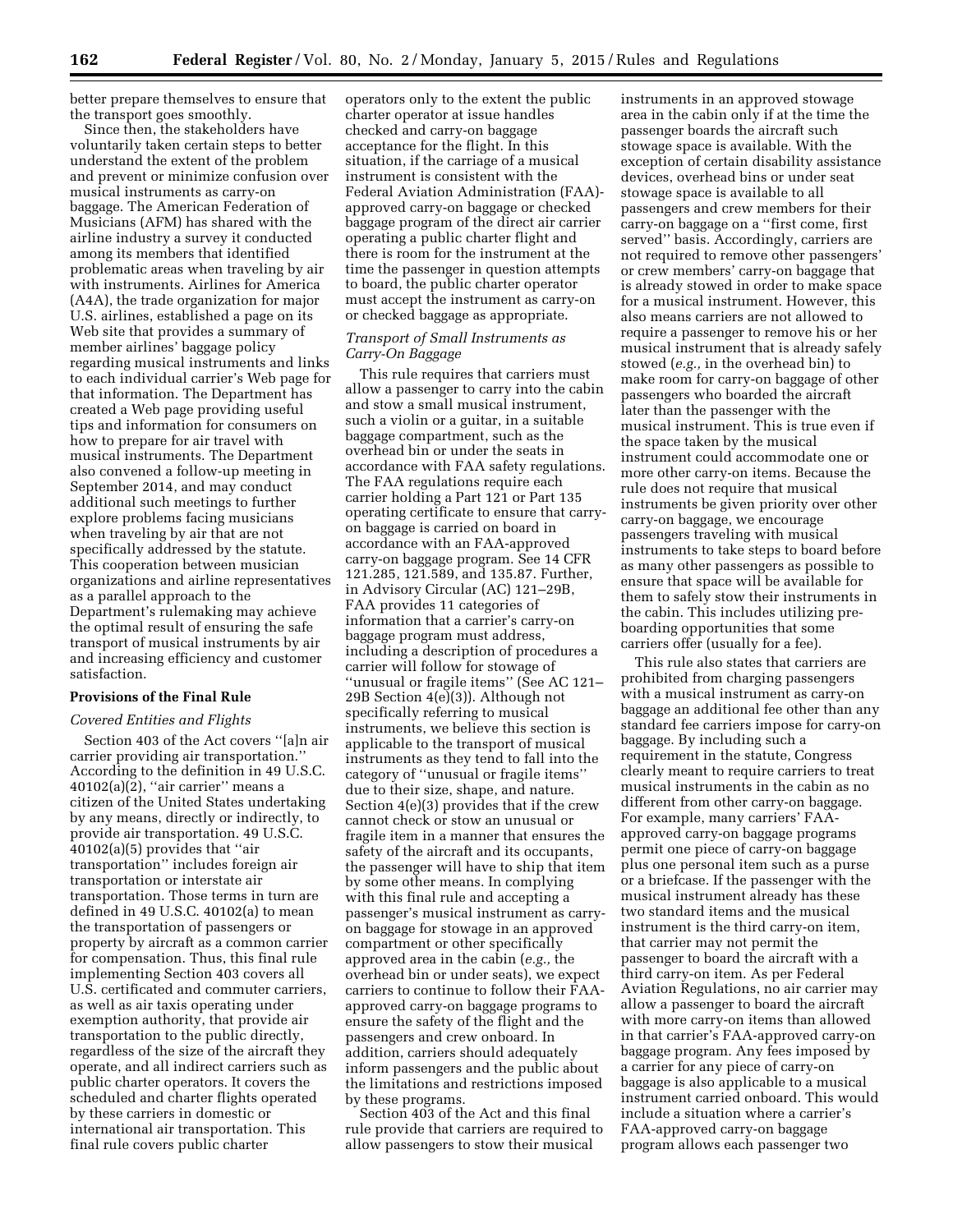better prepare themselves to ensure that the transport goes smoothly.

Since then, the stakeholders have voluntarily taken certain steps to better understand the extent of the problem and prevent or minimize confusion over musical instruments as carry-on baggage. The American Federation of Musicians (AFM) has shared with the airline industry a survey it conducted among its members that identified problematic areas when traveling by air with instruments. Airlines for America (A4A), the trade organization for major U.S. airlines, established a page on its Web site that provides a summary of member airlines' baggage policy regarding musical instruments and links to each individual carrier's Web page for that information. The Department has created a Web page providing useful tips and information for consumers on how to prepare for air travel with musical instruments. The Department also convened a follow-up meeting in September 2014, and may conduct additional such meetings to further explore problems facing musicians when traveling by air that are not specifically addressed by the statute. This cooperation between musician organizations and airline representatives as a parallel approach to the Department's rulemaking may achieve the optimal result of ensuring the safe transport of musical instruments by air and increasing efficiency and customer satisfaction.

### **Provisions of the Final Rule**

#### *Covered Entities and Flights*

Section 403 of the Act covers ''[a]n air carrier providing air transportation.'' According to the definition in 49 U.S.C. 40102(a)(2), ''air carrier'' means a citizen of the United States undertaking by any means, directly or indirectly, to provide air transportation. 49 U.S.C. 40102(a)(5) provides that ''air transportation'' includes foreign air transportation or interstate air transportation. Those terms in turn are defined in 49 U.S.C. 40102(a) to mean the transportation of passengers or property by aircraft as a common carrier for compensation. Thus, this final rule implementing Section 403 covers all U.S. certificated and commuter carriers, as well as air taxis operating under exemption authority, that provide air transportation to the public directly, regardless of the size of the aircraft they operate, and all indirect carriers such as public charter operators. It covers the scheduled and charter flights operated by these carriers in domestic or international air transportation. This final rule covers public charter

operators only to the extent the public charter operator at issue handles checked and carry-on baggage acceptance for the flight. In this situation, if the carriage of a musical instrument is consistent with the Federal Aviation Administration (FAA) approved carry-on baggage or checked baggage program of the direct air carrier operating a public charter flight and there is room for the instrument at the time the passenger in question attempts to board, the public charter operator must accept the instrument as carry-on or checked baggage as appropriate.

### *Transport of Small Instruments as Carry-On Baggage*

This rule requires that carriers must allow a passenger to carry into the cabin and stow a small musical instrument, such a violin or a guitar, in a suitable baggage compartment, such as the overhead bin or under the seats in accordance with FAA safety regulations. The FAA regulations require each carrier holding a Part 121 or Part 135 operating certificate to ensure that carryon baggage is carried on board in accordance with an FAA-approved carry-on baggage program. See 14 CFR 121.285, 121.589, and 135.87. Further, in Advisory Circular (AC) 121–29B, FAA provides 11 categories of information that a carrier's carry-on baggage program must address, including a description of procedures a carrier will follow for stowage of ''unusual or fragile items'' (See AC 121– 29B Section 4(e)(3)). Although not specifically referring to musical instruments, we believe this section is applicable to the transport of musical instruments as they tend to fall into the category of ''unusual or fragile items'' due to their size, shape, and nature. Section 4(e)(3) provides that if the crew cannot check or stow an unusual or fragile item in a manner that ensures the safety of the aircraft and its occupants, the passenger will have to ship that item by some other means. In complying with this final rule and accepting a passenger's musical instrument as carryon baggage for stowage in an approved compartment or other specifically approved area in the cabin (*e.g.,* the overhead bin or under seats), we expect carriers to continue to follow their FAAapproved carry-on baggage programs to ensure the safety of the flight and the passengers and crew onboard. In addition, carriers should adequately inform passengers and the public about the limitations and restrictions imposed by these programs.

Section 403 of the Act and this final rule provide that carriers are required to allow passengers to stow their musical

instruments in an approved stowage area in the cabin only if at the time the passenger boards the aircraft such stowage space is available. With the exception of certain disability assistance devices, overhead bins or under seat stowage space is available to all passengers and crew members for their carry-on baggage on a ''first come, first served'' basis. Accordingly, carriers are not required to remove other passengers' or crew members' carry-on baggage that is already stowed in order to make space for a musical instrument. However, this also means carriers are not allowed to require a passenger to remove his or her musical instrument that is already safely stowed (*e.g.,* in the overhead bin) to make room for carry-on baggage of other passengers who boarded the aircraft later than the passenger with the musical instrument. This is true even if the space taken by the musical instrument could accommodate one or more other carry-on items. Because the rule does not require that musical instruments be given priority over other carry-on baggage, we encourage passengers traveling with musical instruments to take steps to board before as many other passengers as possible to ensure that space will be available for them to safely stow their instruments in the cabin. This includes utilizing preboarding opportunities that some carriers offer (usually for a fee).

This rule also states that carriers are prohibited from charging passengers with a musical instrument as carry-on baggage an additional fee other than any standard fee carriers impose for carry-on baggage. By including such a requirement in the statute, Congress clearly meant to require carriers to treat musical instruments in the cabin as no different from other carry-on baggage. For example, many carriers' FAAapproved carry-on baggage programs permit one piece of carry-on baggage plus one personal item such as a purse or a briefcase. If the passenger with the musical instrument already has these two standard items and the musical instrument is the third carry-on item, that carrier may not permit the passenger to board the aircraft with a third carry-on item. As per Federal Aviation Regulations, no air carrier may allow a passenger to board the aircraft with more carry-on items than allowed in that carrier's FAA-approved carry-on baggage program. Any fees imposed by a carrier for any piece of carry-on baggage is also applicable to a musical instrument carried onboard. This would include a situation where a carrier's FAA-approved carry-on baggage program allows each passenger two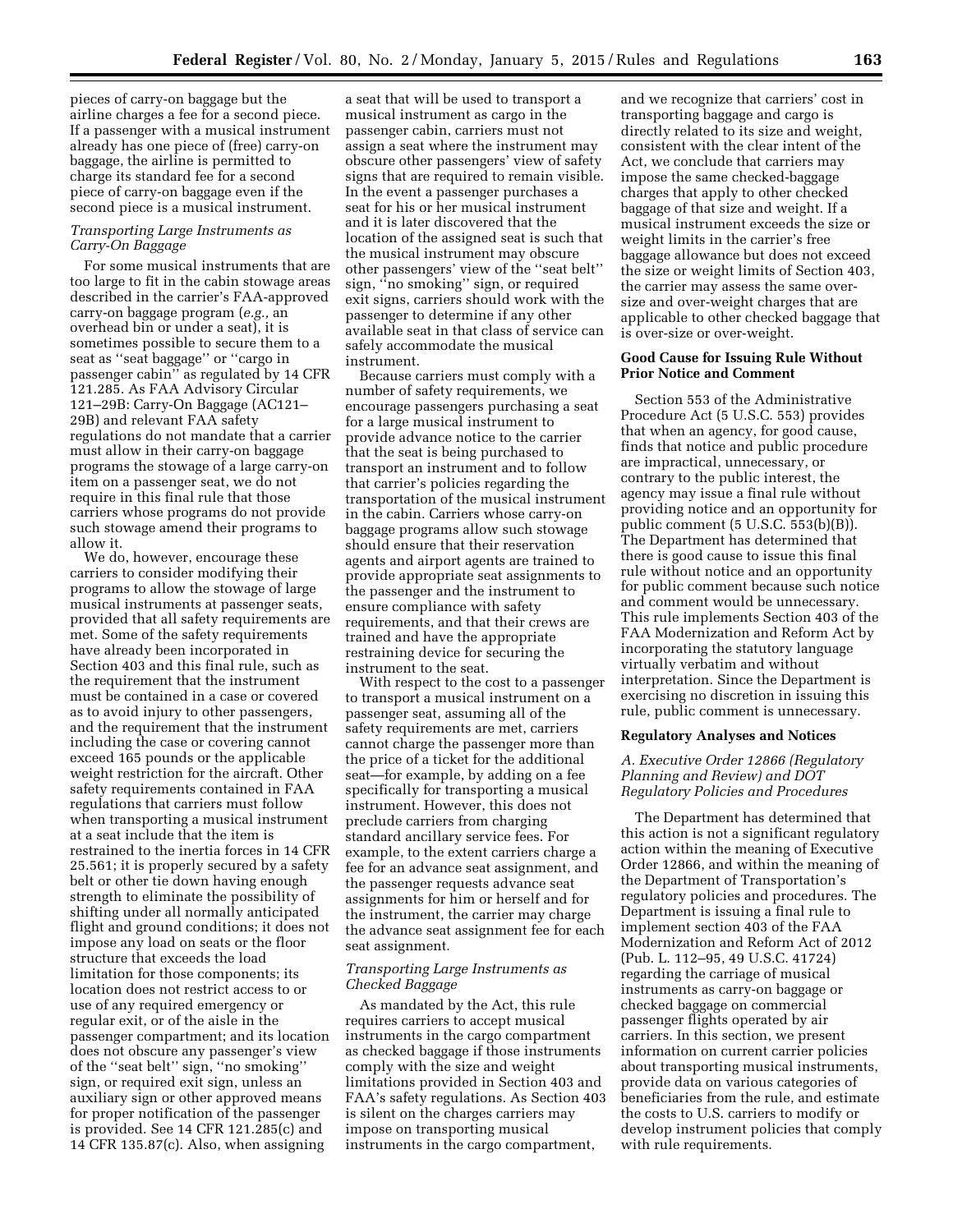pieces of carry-on baggage but the airline charges a fee for a second piece. If a passenger with a musical instrument already has one piece of (free) carry-on baggage, the airline is permitted to charge its standard fee for a second piece of carry-on baggage even if the second piece is a musical instrument.

# *Transporting Large Instruments as Carry-On Baggage*

For some musical instruments that are too large to fit in the cabin stowage areas described in the carrier's FAA-approved carry-on baggage program (*e.g.,* an overhead bin or under a seat), it is sometimes possible to secure them to a seat as ''seat baggage'' or ''cargo in passenger cabin'' as regulated by 14 CFR 121.285. As FAA Advisory Circular 121–29B: Carry-On Baggage (AC121– 29B) and relevant FAA safety regulations do not mandate that a carrier must allow in their carry-on baggage programs the stowage of a large carry-on item on a passenger seat, we do not require in this final rule that those carriers whose programs do not provide such stowage amend their programs to allow it.

We do, however, encourage these carriers to consider modifying their programs to allow the stowage of large musical instruments at passenger seats, provided that all safety requirements are met. Some of the safety requirements have already been incorporated in Section 403 and this final rule, such as the requirement that the instrument must be contained in a case or covered as to avoid injury to other passengers, and the requirement that the instrument including the case or covering cannot exceed 165 pounds or the applicable weight restriction for the aircraft. Other safety requirements contained in FAA regulations that carriers must follow when transporting a musical instrument at a seat include that the item is restrained to the inertia forces in 14 CFR 25.561; it is properly secured by a safety belt or other tie down having enough strength to eliminate the possibility of shifting under all normally anticipated flight and ground conditions; it does not impose any load on seats or the floor structure that exceeds the load limitation for those components; its location does not restrict access to or use of any required emergency or regular exit, or of the aisle in the passenger compartment; and its location does not obscure any passenger's view of the ''seat belt'' sign, ''no smoking'' sign, or required exit sign, unless an auxiliary sign or other approved means for proper notification of the passenger is provided. See 14 CFR 121.285(c) and 14 CFR 135.87(c). Also, when assigning

a seat that will be used to transport a musical instrument as cargo in the passenger cabin, carriers must not assign a seat where the instrument may obscure other passengers' view of safety signs that are required to remain visible. In the event a passenger purchases a seat for his or her musical instrument and it is later discovered that the location of the assigned seat is such that the musical instrument may obscure other passengers' view of the ''seat belt'' sign, "no smoking" sign, or required exit signs, carriers should work with the passenger to determine if any other available seat in that class of service can safely accommodate the musical instrument.

Because carriers must comply with a number of safety requirements, we encourage passengers purchasing a seat for a large musical instrument to provide advance notice to the carrier that the seat is being purchased to transport an instrument and to follow that carrier's policies regarding the transportation of the musical instrument in the cabin. Carriers whose carry-on baggage programs allow such stowage should ensure that their reservation agents and airport agents are trained to provide appropriate seat assignments to the passenger and the instrument to ensure compliance with safety requirements, and that their crews are trained and have the appropriate restraining device for securing the instrument to the seat.

With respect to the cost to a passenger to transport a musical instrument on a passenger seat, assuming all of the safety requirements are met, carriers cannot charge the passenger more than the price of a ticket for the additional seat—for example, by adding on a fee specifically for transporting a musical instrument. However, this does not preclude carriers from charging standard ancillary service fees. For example, to the extent carriers charge a fee for an advance seat assignment, and the passenger requests advance seat assignments for him or herself and for the instrument, the carrier may charge the advance seat assignment fee for each seat assignment.

# *Transporting Large Instruments as Checked Baggage*

As mandated by the Act, this rule requires carriers to accept musical instruments in the cargo compartment as checked baggage if those instruments comply with the size and weight limitations provided in Section 403 and FAA's safety regulations. As Section 403 is silent on the charges carriers may impose on transporting musical instruments in the cargo compartment,

and we recognize that carriers' cost in transporting baggage and cargo is directly related to its size and weight, consistent with the clear intent of the Act, we conclude that carriers may impose the same checked-baggage charges that apply to other checked baggage of that size and weight. If a musical instrument exceeds the size or weight limits in the carrier's free baggage allowance but does not exceed the size or weight limits of Section 403, the carrier may assess the same oversize and over-weight charges that are applicable to other checked baggage that is over-size or over-weight.

# **Good Cause for Issuing Rule Without Prior Notice and Comment**

Section 553 of the Administrative Procedure Act (5 U.S.C. 553) provides that when an agency, for good cause, finds that notice and public procedure are impractical, unnecessary, or contrary to the public interest, the agency may issue a final rule without providing notice and an opportunity for public comment (5 U.S.C. 553(b)(B)). The Department has determined that there is good cause to issue this final rule without notice and an opportunity for public comment because such notice and comment would be unnecessary. This rule implements Section 403 of the FAA Modernization and Reform Act by incorporating the statutory language virtually verbatim and without interpretation. Since the Department is exercising no discretion in issuing this rule, public comment is unnecessary.

### **Regulatory Analyses and Notices**

# *A. Executive Order 12866 (Regulatory Planning and Review) and DOT Regulatory Policies and Procedures*

The Department has determined that this action is not a significant regulatory action within the meaning of Executive Order 12866, and within the meaning of the Department of Transportation's regulatory policies and procedures. The Department is issuing a final rule to implement section 403 of the FAA Modernization and Reform Act of 2012 (Pub. L. 112–95, 49 U.S.C. 41724) regarding the carriage of musical instruments as carry-on baggage or checked baggage on commercial passenger flights operated by air carriers. In this section, we present information on current carrier policies about transporting musical instruments, provide data on various categories of beneficiaries from the rule, and estimate the costs to U.S. carriers to modify or develop instrument policies that comply with rule requirements.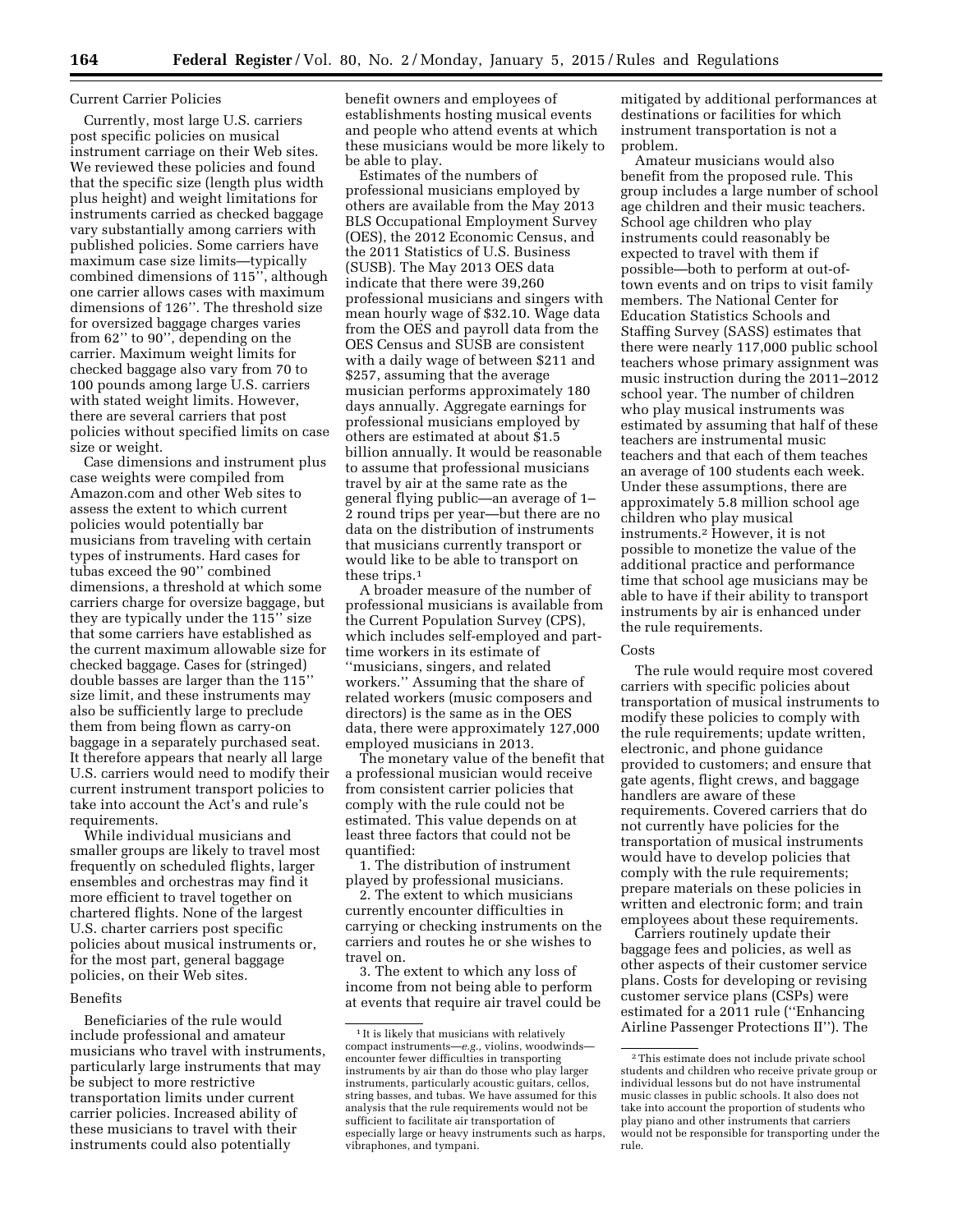#### Current Carrier Policies

Currently, most large U.S. carriers post specific policies on musical instrument carriage on their Web sites. We reviewed these policies and found that the specific size (length plus width plus height) and weight limitations for instruments carried as checked baggage vary substantially among carriers with published policies. Some carriers have maximum case size limits—typically combined dimensions of 115'', although one carrier allows cases with maximum dimensions of 126''. The threshold size for oversized baggage charges varies from 62'' to 90'', depending on the carrier. Maximum weight limits for checked baggage also vary from 70 to 100 pounds among large U.S. carriers with stated weight limits. However, there are several carriers that post policies without specified limits on case size or weight.

Case dimensions and instrument plus case weights were compiled from Amazon.com and other Web sites to assess the extent to which current policies would potentially bar musicians from traveling with certain types of instruments. Hard cases for tubas exceed the 90'' combined dimensions, a threshold at which some carriers charge for oversize baggage, but they are typically under the 115'' size that some carriers have established as the current maximum allowable size for checked baggage. Cases for (stringed) double basses are larger than the 115'' size limit, and these instruments may also be sufficiently large to preclude them from being flown as carry-on baggage in a separately purchased seat. It therefore appears that nearly all large U.S. carriers would need to modify their current instrument transport policies to take into account the Act's and rule's requirements.

While individual musicians and smaller groups are likely to travel most frequently on scheduled flights, larger ensembles and orchestras may find it more efficient to travel together on chartered flights. None of the largest U.S. charter carriers post specific policies about musical instruments or, for the most part, general baggage policies, on their Web sites.

## Benefits

Beneficiaries of the rule would include professional and amateur musicians who travel with instruments, particularly large instruments that may be subject to more restrictive transportation limits under current carrier policies. Increased ability of these musicians to travel with their instruments could also potentially

benefit owners and employees of establishments hosting musical events and people who attend events at which these musicians would be more likely to be able to play.

Estimates of the numbers of professional musicians employed by others are available from the May 2013 BLS Occupational Employment Survey (OES), the 2012 Economic Census, and the 2011 Statistics of U.S. Business (SUSB). The May 2013 OES data indicate that there were 39,260 professional musicians and singers with mean hourly wage of \$32.10. Wage data from the OES and payroll data from the OES Census and SUSB are consistent with a daily wage of between \$211 and \$257, assuming that the average musician performs approximately 180 days annually. Aggregate earnings for professional musicians employed by others are estimated at about \$1.5 billion annually. It would be reasonable to assume that professional musicians travel by air at the same rate as the general flying public—an average of 1– 2 round trips per year—but there are no data on the distribution of instruments that musicians currently transport or would like to be able to transport on these trips.1

A broader measure of the number of professional musicians is available from the Current Population Survey (CPS), which includes self-employed and parttime workers in its estimate of ''musicians, singers, and related workers.'' Assuming that the share of related workers (music composers and directors) is the same as in the OES data, there were approximately 127,000 employed musicians in 2013.

The monetary value of the benefit that a professional musician would receive from consistent carrier policies that comply with the rule could not be estimated. This value depends on at least three factors that could not be quantified:

1. The distribution of instrument played by professional musicians.

2. The extent to which musicians currently encounter difficulties in carrying or checking instruments on the carriers and routes he or she wishes to travel on.

3. The extent to which any loss of income from not being able to perform at events that require air travel could be mitigated by additional performances at destinations or facilities for which instrument transportation is not a problem.

Amateur musicians would also benefit from the proposed rule. This group includes a large number of school age children and their music teachers. School age children who play instruments could reasonably be expected to travel with them if possible—both to perform at out-oftown events and on trips to visit family members. The National Center for Education Statistics Schools and Staffing Survey (SASS) estimates that there were nearly 117,000 public school teachers whose primary assignment was music instruction during the 2011–2012 school year. The number of children who play musical instruments was estimated by assuming that half of these teachers are instrumental music teachers and that each of them teaches an average of 100 students each week. Under these assumptions, there are approximately 5.8 million school age children who play musical instruments.2 However, it is not possible to monetize the value of the additional practice and performance time that school age musicians may be able to have if their ability to transport instruments by air is enhanced under the rule requirements.

#### **Costs**

The rule would require most covered carriers with specific policies about transportation of musical instruments to modify these policies to comply with the rule requirements; update written, electronic, and phone guidance provided to customers; and ensure that gate agents, flight crews, and baggage handlers are aware of these requirements. Covered carriers that do not currently have policies for the transportation of musical instruments would have to develop policies that comply with the rule requirements; prepare materials on these policies in written and electronic form; and train employees about these requirements.

Carriers routinely update their baggage fees and policies, as well as other aspects of their customer service plans. Costs for developing or revising customer service plans (CSPs) were estimated for a 2011 rule (''Enhancing Airline Passenger Protections II''). The

 $^{\rm 1\,It}$  is likely that musicians with relatively compact instruments—*e.g.,* violins, woodwinds encounter fewer difficulties in transporting instruments by air than do those who play larger instruments, particularly acoustic guitars, cellos, string basses, and tubas. We have assumed for this analysis that the rule requirements would not be sufficient to facilitate air transportation of especially large or heavy instruments such as harps, vibraphones, and tympani.

<sup>2</sup>This estimate does not include private school students and children who receive private group or individual lessons but do not have instrumental music classes in public schools. It also does not take into account the proportion of students who play piano and other instruments that carriers would not be responsible for transporting under the rule.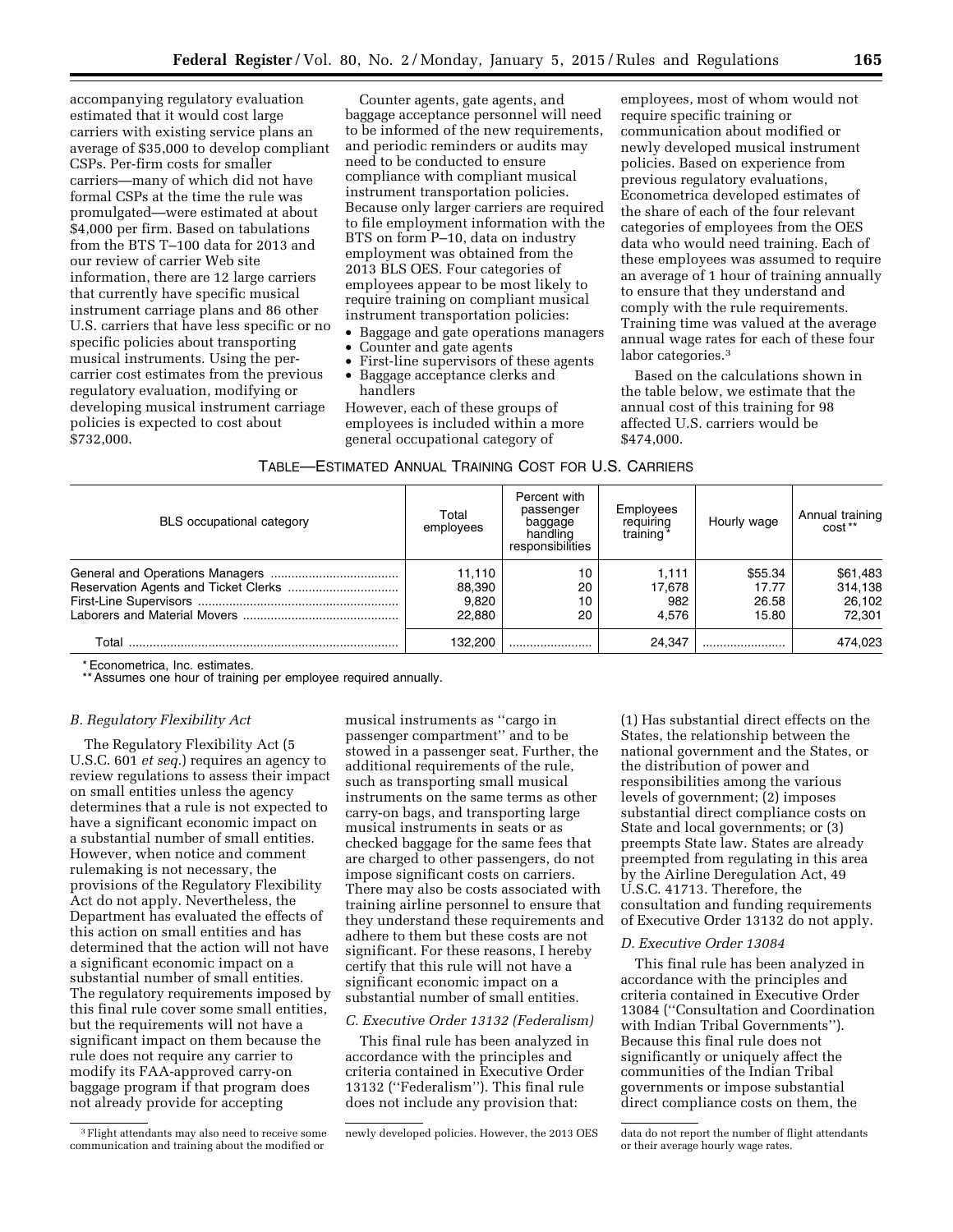accompanying regulatory evaluation estimated that it would cost large carriers with existing service plans an average of \$35,000 to develop compliant CSPs. Per-firm costs for smaller carriers—many of which did not have formal CSPs at the time the rule was promulgated—were estimated at about \$4,000 per firm. Based on tabulations from the BTS T–100 data for 2013 and our review of carrier Web site information, there are 12 large carriers that currently have specific musical instrument carriage plans and 86 other U.S. carriers that have less specific or no specific policies about transporting musical instruments. Using the percarrier cost estimates from the previous regulatory evaluation, modifying or developing musical instrument carriage policies is expected to cost about \$732,000.

Counter agents, gate agents, and baggage acceptance personnel will need to be informed of the new requirements, and periodic reminders or audits may need to be conducted to ensure compliance with compliant musical instrument transportation policies. Because only larger carriers are required to file employment information with the BTS on form P–10, data on industry employment was obtained from the 2013 BLS OES. Four categories of employees appear to be most likely to require training on compliant musical instrument transportation policies:

- Baggage and gate operations managers
- Counter and gate agents
- First-line supervisors of these agents
- Baggage acceptance clerks and handlers

However, each of these groups of employees is included within a more general occupational category of

employees, most of whom would not require specific training or communication about modified or newly developed musical instrument policies. Based on experience from previous regulatory evaluations, Econometrica developed estimates of the share of each of the four relevant categories of employees from the OES data who would need training. Each of these employees was assumed to require an average of 1 hour of training annually to ensure that they understand and comply with the rule requirements. Training time was valued at the average annual wage rates for each of these four labor categories.<sup>3</sup>

Based on the calculations shown in the table below, we estimate that the annual cost of this training for 98 affected U.S. carriers would be \$474,000.

| TABLE-ESTIMATED ANNUAL TRAINING COST FOR U.S. CARRIERS |  |
|--------------------------------------------------------|--|
|--------------------------------------------------------|--|

| <b>BLS</b> occupational category | Total<br>employees                  | Percent with<br>passenger<br>baggage<br>handling<br>responsibilities | Employees<br>requiring<br>training <sup>*</sup> | Hourly wage                        | Annual training<br>cost**               |
|----------------------------------|-------------------------------------|----------------------------------------------------------------------|-------------------------------------------------|------------------------------------|-----------------------------------------|
|                                  | 11.110<br>88,390<br>9,820<br>22.880 | 10<br>20<br>10<br>20                                                 | 1,111<br>17,678<br>982<br>4.576                 | \$55.34<br>17.77<br>26.58<br>15.80 | \$61,483<br>314,138<br>26.102<br>72.301 |
| Total                            | 132.200                             |                                                                      | 24.347                                          |                                    | 474.023                                 |

\* Econometrica, Inc. estimates.

\*\* Assumes one hour of training per employee required annually.

#### *B. Regulatory Flexibility Act*

The Regulatory Flexibility Act (5 U.S.C. 601 *et seq.*) requires an agency to review regulations to assess their impact on small entities unless the agency determines that a rule is not expected to have a significant economic impact on a substantial number of small entities. However, when notice and comment rulemaking is not necessary, the provisions of the Regulatory Flexibility Act do not apply. Nevertheless, the Department has evaluated the effects of this action on small entities and has determined that the action will not have a significant economic impact on a substantial number of small entities. The regulatory requirements imposed by this final rule cover some small entities, but the requirements will not have a significant impact on them because the rule does not require any carrier to modify its FAA-approved carry-on baggage program if that program does not already provide for accepting

musical instruments as ''cargo in passenger compartment'' and to be stowed in a passenger seat. Further, the additional requirements of the rule, such as transporting small musical instruments on the same terms as other carry-on bags, and transporting large musical instruments in seats or as checked baggage for the same fees that are charged to other passengers, do not impose significant costs on carriers. There may also be costs associated with training airline personnel to ensure that they understand these requirements and adhere to them but these costs are not significant. For these reasons, I hereby certify that this rule will not have a significant economic impact on a substantial number of small entities.

### *C. Executive Order 13132 (Federalism)*

This final rule has been analyzed in accordance with the principles and criteria contained in Executive Order 13132 (''Federalism''). This final rule does not include any provision that:

(1) Has substantial direct effects on the States, the relationship between the national government and the States, or the distribution of power and responsibilities among the various levels of government; (2) imposes substantial direct compliance costs on State and local governments; or (3) preempts State law. States are already preempted from regulating in this area by the Airline Deregulation Act, 49 U.S.C. 41713. Therefore, the consultation and funding requirements of Executive Order 13132 do not apply.

### *D. Executive Order 13084*

This final rule has been analyzed in accordance with the principles and criteria contained in Executive Order 13084 (''Consultation and Coordination with Indian Tribal Governments''). Because this final rule does not significantly or uniquely affect the communities of the Indian Tribal governments or impose substantial direct compliance costs on them, the

<sup>3</sup>Flight attendants may also need to receive some communication and training about the modified or

newly developed policies. However, the 2013 OES data do not report the number of flight attendants or their average hourly wage rates.